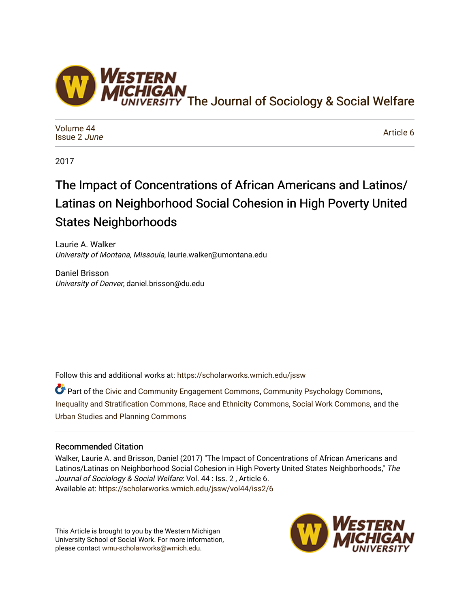

[Volume 44](https://scholarworks.wmich.edu/jssw/vol44) [Issue 2](https://scholarworks.wmich.edu/jssw/vol44/iss2) June

[Article 6](https://scholarworks.wmich.edu/jssw/vol44/iss2/6) 

2017

# The Impact of Concentrations of African Americans and Latinos/ Latinas on Neighborhood Social Cohesion in High Poverty United States Neighborhoods

Laurie A. Walker University of Montana, Missoula, laurie.walker@umontana.edu

Daniel Brisson University of Denver, daniel.brisson@du.edu

Follow this and additional works at: [https://scholarworks.wmich.edu/jssw](https://scholarworks.wmich.edu/jssw?utm_source=scholarworks.wmich.edu%2Fjssw%2Fvol44%2Fiss2%2F6&utm_medium=PDF&utm_campaign=PDFCoverPages) 

**C** Part of the [Civic and Community Engagement Commons](http://network.bepress.com/hgg/discipline/1028?utm_source=scholarworks.wmich.edu%2Fjssw%2Fvol44%2Fiss2%2F6&utm_medium=PDF&utm_campaign=PDFCoverPages), [Community Psychology Commons](http://network.bepress.com/hgg/discipline/409?utm_source=scholarworks.wmich.edu%2Fjssw%2Fvol44%2Fiss2%2F6&utm_medium=PDF&utm_campaign=PDFCoverPages), [Inequality and Stratification Commons,](http://network.bepress.com/hgg/discipline/421?utm_source=scholarworks.wmich.edu%2Fjssw%2Fvol44%2Fiss2%2F6&utm_medium=PDF&utm_campaign=PDFCoverPages) [Race and Ethnicity Commons,](http://network.bepress.com/hgg/discipline/426?utm_source=scholarworks.wmich.edu%2Fjssw%2Fvol44%2Fiss2%2F6&utm_medium=PDF&utm_campaign=PDFCoverPages) [Social Work Commons](http://network.bepress.com/hgg/discipline/713?utm_source=scholarworks.wmich.edu%2Fjssw%2Fvol44%2Fiss2%2F6&utm_medium=PDF&utm_campaign=PDFCoverPages), and the [Urban Studies and Planning Commons](http://network.bepress.com/hgg/discipline/436?utm_source=scholarworks.wmich.edu%2Fjssw%2Fvol44%2Fiss2%2F6&utm_medium=PDF&utm_campaign=PDFCoverPages) 

## Recommended Citation

Walker, Laurie A. and Brisson, Daniel (2017) "The Impact of Concentrations of African Americans and Latinos/Latinas on Neighborhood Social Cohesion in High Poverty United States Neighborhoods," The Journal of Sociology & Social Welfare: Vol. 44 : Iss. 2, Article 6. Available at: [https://scholarworks.wmich.edu/jssw/vol44/iss2/6](https://scholarworks.wmich.edu/jssw/vol44/iss2/6?utm_source=scholarworks.wmich.edu%2Fjssw%2Fvol44%2Fiss2%2F6&utm_medium=PDF&utm_campaign=PDFCoverPages)

This Article is brought to you by the Western Michigan University School of Social Work. For more information, please contact [wmu-scholarworks@wmich.edu.](mailto:wmu-scholarworks@wmich.edu)

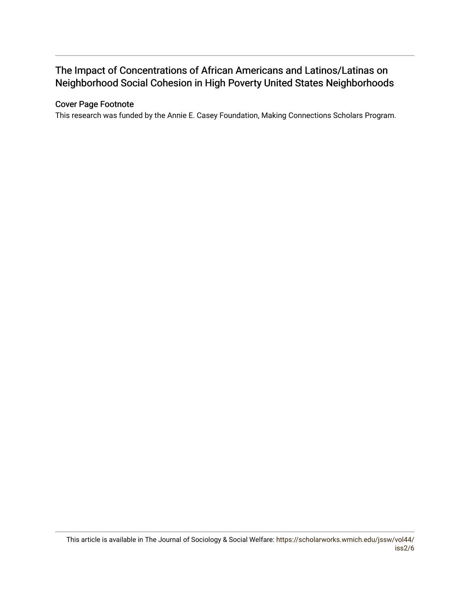## The Impact of Concentrations of African Americans and Latinos/Latinas on Neighborhood Social Cohesion in High Poverty United States Neighborhoods

## Cover Page Footnote

This research was funded by the Annie E. Casey Foundation, Making Connections Scholars Program.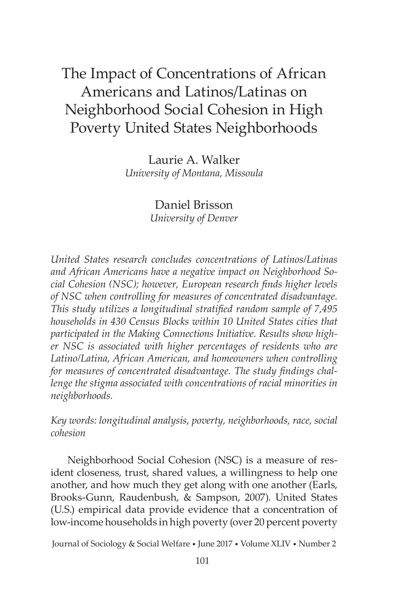## The Impact of Concentrations of African Americans and Latinos/Latinas on Neighborhood Social Cohesion in High Poverty United States Neighborhoods

Laurie A. Walker *University of Montana, Missoula*

> Daniel Brisson *University of Denver*

*United States research concludes concentrations of Latinos/Latinas and African Americans have a negative impact on Neighborhood Social Cohesion (NSC); however, European research finds higher levels of NSC when controlling for measures of concentrated disadvantage. This study utilizes a longitudinal stratified random sample of 7,495 households in 430 Census Blocks within 10 United States cities that participated in the Making Connections Initiative. Results show higher NSC is associated with higher percentages of residents who are Latino/Latina, African American, and homeowners when controlling for measures of concentrated disadvantage. The study findings challenge the stigma associated with concentrations of racial minorities in neighborhoods.*

*Key words: longitudinal analysis, poverty, neighborhoods, race, social cohesion*

Neighborhood Social Cohesion (NSC) is a measure of resident closeness, trust, shared values, a willingness to help one another, and how much they get along with one another (Earls, Brooks-Gunn, Raudenbush, & Sampson, 2007). United States (U.S.) empirical data provide evidence that a concentration of low-income households in high poverty (over 20 percent poverty

Journal of Sociology & Social Welfare • June 2017 • Volume XLIV • Number 2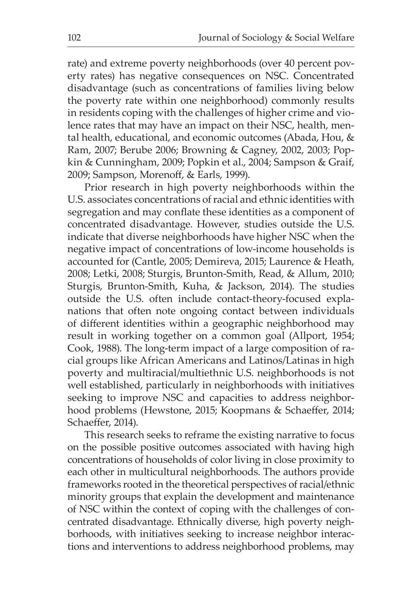rate) and extreme poverty neighborhoods (over 40 percent poverty rates) has negative consequences on NSC. Concentrated disadvantage (such as concentrations of families living below the poverty rate within one neighborhood) commonly results in residents coping with the challenges of higher crime and violence rates that may have an impact on their NSC, health, mental health, educational, and economic outcomes (Abada, Hou, & Ram, 2007; Berube 2006; Browning & Cagney, 2002, 2003; Popkin & Cunningham, 2009; Popkin et al., 2004; Sampson & Graif, 2009; Sampson, Morenoff, & Earls, 1999).

Prior research in high poverty neighborhoods within the U.S. associates concentrations of racial and ethnic identities with segregation and may conflate these identities as a component of concentrated disadvantage. However, studies outside the U.S. indicate that diverse neighborhoods have higher NSC when the negative impact of concentrations of low-income households is accounted for (Cantle, 2005; Demireva, 2015; Laurence & Heath, 2008; Letki, 2008; Sturgis, Brunton-Smith, Read, & Allum, 2010; Sturgis, Brunton-Smith, Kuha, & Jackson, 2014). The studies outside the U.S. often include contact-theory-focused explanations that often note ongoing contact between individuals of different identities within a geographic neighborhood may result in working together on a common goal (Allport, 1954; Cook, 1988). The long-term impact of a large composition of racial groups like African Americans and Latinos/Latinas in high poverty and multiracial/multiethnic U.S. neighborhoods is not well established, particularly in neighborhoods with initiatives seeking to improve NSC and capacities to address neighborhood problems (Hewstone, 2015; Koopmans & Schaeffer, 2014; Schaeffer, 2014).

This research seeks to reframe the existing narrative to focus on the possible positive outcomes associated with having high concentrations of households of color living in close proximity to each other in multicultural neighborhoods. The authors provide frameworks rooted in the theoretical perspectives of racial/ethnic minority groups that explain the development and maintenance of NSC within the context of coping with the challenges of concentrated disadvantage. Ethnically diverse, high poverty neighborhoods, with initiatives seeking to increase neighbor interactions and interventions to address neighborhood problems, may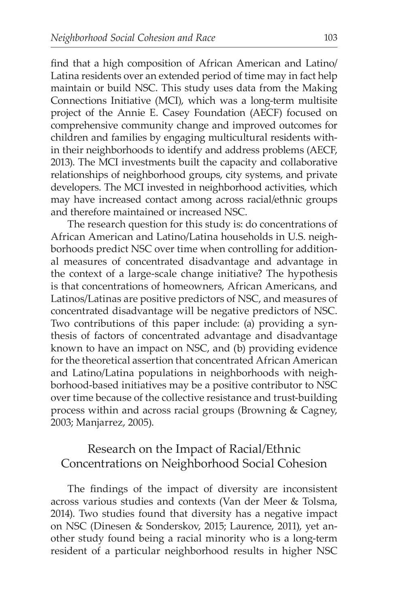find that a high composition of African American and Latino/ Latina residents over an extended period of time may in fact help maintain or build NSC. This study uses data from the Making Connections Initiative (MCI), which was a long-term multisite project of the Annie E. Casey Foundation (AECF) focused on comprehensive community change and improved outcomes for children and families by engaging multicultural residents within their neighborhoods to identify and address problems (AECF, 2013). The MCI investments built the capacity and collaborative relationships of neighborhood groups, city systems, and private developers. The MCI invested in neighborhood activities, which may have increased contact among across racial/ethnic groups and therefore maintained or increased NSC.

The research question for this study is: do concentrations of African American and Latino/Latina households in U.S. neighborhoods predict NSC over time when controlling for additional measures of concentrated disadvantage and advantage in the context of a large-scale change initiative? The hypothesis is that concentrations of homeowners, African Americans, and Latinos/Latinas are positive predictors of NSC, and measures of concentrated disadvantage will be negative predictors of NSC. Two contributions of this paper include: (a) providing a synthesis of factors of concentrated advantage and disadvantage known to have an impact on NSC, and (b) providing evidence for the theoretical assertion that concentrated African American and Latino/Latina populations in neighborhoods with neighborhood-based initiatives may be a positive contributor to NSC over time because of the collective resistance and trust-building process within and across racial groups (Browning & Cagney, 2003; Manjarrez, 2005).

## Research on the Impact of Racial/Ethnic Concentrations on Neighborhood Social Cohesion

The findings of the impact of diversity are inconsistent across various studies and contexts (Van der Meer & Tolsma, 2014). Two studies found that diversity has a negative impact on NSC (Dinesen & Sonderskov, 2015; Laurence, 2011), yet another study found being a racial minority who is a long-term resident of a particular neighborhood results in higher NSC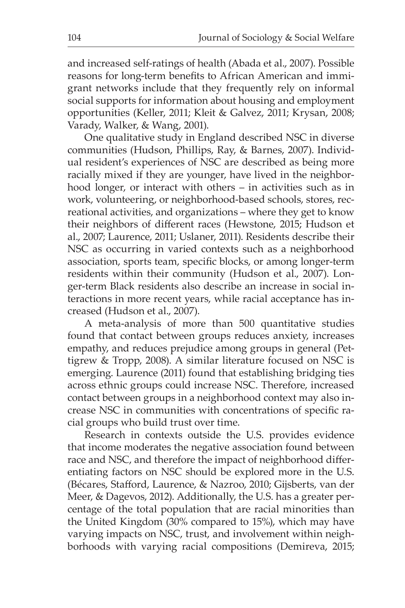and increased self-ratings of health (Abada et al., 2007). Possible reasons for long-term benefits to African American and immigrant networks include that they frequently rely on informal social supports for information about housing and employment opportunities (Keller, 2011; Kleit & Galvez, 2011; Krysan, 2008; Varady, Walker, & Wang, 2001).

One qualitative study in England described NSC in diverse communities (Hudson, Phillips, Ray, & Barnes, 2007). Individual resident's experiences of NSC are described as being more racially mixed if they are younger, have lived in the neighborhood longer, or interact with others – in activities such as in work, volunteering, or neighborhood-based schools, stores, recreational activities, and organizations – where they get to know their neighbors of different races (Hewstone, 2015; Hudson et al., 2007; Laurence, 2011; Uslaner, 2011). Residents describe their NSC as occurring in varied contexts such as a neighborhood association, sports team, specific blocks, or among longer-term residents within their community (Hudson et al., 2007). Longer-term Black residents also describe an increase in social interactions in more recent years, while racial acceptance has increased (Hudson et al., 2007).

A meta-analysis of more than 500 quantitative studies found that contact between groups reduces anxiety, increases empathy, and reduces prejudice among groups in general (Pettigrew & Tropp, 2008). A similar literature focused on NSC is emerging. Laurence (2011) found that establishing bridging ties across ethnic groups could increase NSC. Therefore, increased contact between groups in a neighborhood context may also increase NSC in communities with concentrations of specific racial groups who build trust over time.

Research in contexts outside the U.S. provides evidence that income moderates the negative association found between race and NSC, and therefore the impact of neighborhood differentiating factors on NSC should be explored more in the U.S. (Bécares, Stafford, Laurence, & Nazroo, 2010; Gijsberts, van der Meer, & Dagevos, 2012). Additionally, the U.S. has a greater percentage of the total population that are racial minorities than the United Kingdom (30% compared to 15%), which may have varying impacts on NSC, trust, and involvement within neighborhoods with varying racial compositions (Demireva, 2015;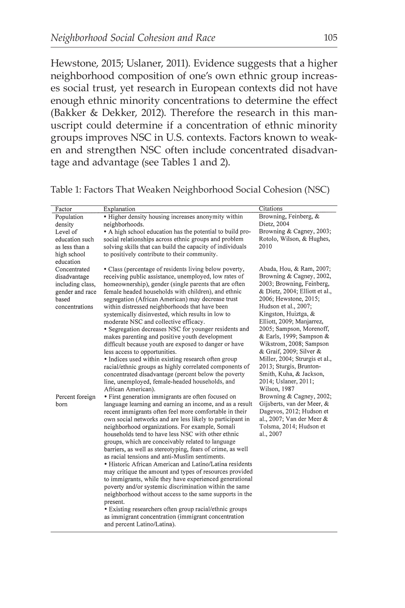Hewstone, 2015; Uslaner, 2011). Evidence suggests that a higher neighborhood composition of one's own ethnic group increases social trust, yet research in European contexts did not have enough ethnic minority concentrations to determine the effect (Bakker & Dekker, 2012). Therefore the research in this manuscript could determine if a concentration of ethnic minority groups improves NSC in U.S. contexts. Factors known to weaken and strengthen NSC often include concentrated disadvantage and advantage (see Tables 1 and 2).

Table 1: Factors That Weaken Neighborhood Social Cohesion (NSC)

| Factor                  | Explanation                                                                                                  | Citations                                                   |
|-------------------------|--------------------------------------------------------------------------------------------------------------|-------------------------------------------------------------|
| Population              | • Higher density housing increases anonymity within                                                          | Browning, Feinberg, &                                       |
| density                 | neighborhoods.                                                                                               | Dietz, 2004                                                 |
| Level of                | • A high school education has the potential to build pro-                                                    | Browning & Cagney, 2003;                                    |
| education such          | social relationships across ethnic groups and problem                                                        | Rotolo, Wilson, & Hughes,                                   |
| as less than a          | solving skills that can build the capacity of individuals                                                    | 2010                                                        |
| high school             | to positively contribute to their community.                                                                 |                                                             |
| education               |                                                                                                              |                                                             |
| Concentrated            | • Class (percentage of residents living below poverty,                                                       | Abada, Hou, & Ram, 2007;                                    |
| disadvantage            | receiving public assistance, unemployed, low rates of                                                        | Browning & Cagney, 2002,                                    |
| including class,        | homeownership), gender (single parents that are often                                                        | 2003; Browning, Feinberg,<br>& Dietz, 2004; Elliott et al., |
| gender and race         | female headed households with children), and ethnic                                                          | 2006; Hewstone, 2015;                                       |
| based<br>concentrations | segregation (African American) may decrease trust<br>within distressed neighborhoods that have been          | Hudson et al., 2007;                                        |
|                         | systemically disinvested, which results in low to                                                            | Kingston, Huiztga, &                                        |
|                         | moderate NSC and collective efficacy.                                                                        | Elliott, 2009; Manjarrez,                                   |
|                         | • Segregation decreases NSC for younger residents and                                                        | 2005; Sampson, Morenoff,                                    |
|                         | makes parenting and positive youth development                                                               | & Earls, 1999; Sampson &                                    |
|                         | difficult because youth are exposed to danger or have                                                        | Wikstrom, 2008; Sampson                                     |
|                         | less access to opportunities.                                                                                | & Graif, 2009; Silver &                                     |
|                         | • Indices used within existing research often group                                                          | Miller, 2004; Strurgis et al.,                              |
|                         | racial/ethnic groups as highly correlated components of                                                      | 2013; Sturgis, Brunton-                                     |
|                         | concentrated disadvantage (percent below the poverty                                                         | Smith, Kuha, & Jackson,                                     |
|                         | line, unemployed, female-headed households, and                                                              | 2014; Uslaner, 2011;                                        |
|                         | African American).                                                                                           | Wilson, 1987                                                |
| Percent foreign         | • First generation immigrants are often focused on                                                           | Browning & Cagney, 2002;                                    |
| born                    | language learning and earning an income, and as a result                                                     | Gijsberts, van der Meer, &                                  |
|                         | recent immigrants often feel more comfortable in their                                                       | Dagevos, 2012; Hudson et                                    |
|                         | own social networks and are less likely to participant in                                                    | al., 2007; Van der Meer &                                   |
|                         | neighborhood organizations. For example, Somali                                                              | Tolsma, 2014; Hudson et                                     |
|                         | households tend to have less NSC with other ethnic                                                           | al., 2007                                                   |
|                         | groups, which are conceivably related to language                                                            |                                                             |
|                         | barriers, as well as stereotyping, fears of crime, as well<br>as racial tensions and anti-Muslim sentiments. |                                                             |
|                         | · Historic African American and Latino/Latina residents                                                      |                                                             |
|                         | may critique the amount and types of resources provided                                                      |                                                             |
|                         | to immigrants, while they have experienced generational                                                      |                                                             |
|                         | poverty and/or systemic discrimination within the same                                                       |                                                             |
|                         | neighborhood without access to the same supports in the                                                      |                                                             |
|                         | present.                                                                                                     |                                                             |
|                         | • Existing researchers often group racial/ethnic groups                                                      |                                                             |
|                         | as immigrant concentration (immigrant concentration                                                          |                                                             |
|                         | and nercent Latino/Latina).                                                                                  |                                                             |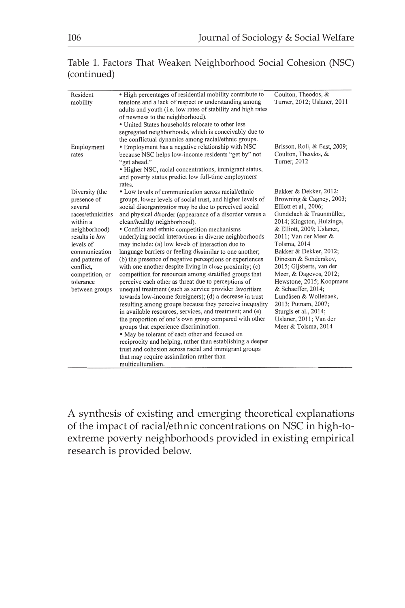#### Table 1. Factors That Weaken Neighborhood Social Cohesion (NSC) (continued)

| Resident<br>mobility                                                                                                                                                                                                         | • High percentages of residential mobility contribute to<br>tensions and a lack of respect or understanding among<br>adults and youth (i.e. low rates of stability and high rates<br>of newness to the neighborhood).<br>• United States households relocate to other less<br>segregated neighborhoods, which is conceivably due to<br>the conflictual dynamics among racial/ethnic groups.                                                                                                                                                                                                                                                                                                                                                                                                                                                                                                                                                                                                                                                                                                                                                                                                                                                                                                                                       | Coulton, Theodos, &<br>Turner, 2012; Uslaner, 2011                                                                                                                                                                                                                                                                                                                                                                                                                                             |
|------------------------------------------------------------------------------------------------------------------------------------------------------------------------------------------------------------------------------|-----------------------------------------------------------------------------------------------------------------------------------------------------------------------------------------------------------------------------------------------------------------------------------------------------------------------------------------------------------------------------------------------------------------------------------------------------------------------------------------------------------------------------------------------------------------------------------------------------------------------------------------------------------------------------------------------------------------------------------------------------------------------------------------------------------------------------------------------------------------------------------------------------------------------------------------------------------------------------------------------------------------------------------------------------------------------------------------------------------------------------------------------------------------------------------------------------------------------------------------------------------------------------------------------------------------------------------|------------------------------------------------------------------------------------------------------------------------------------------------------------------------------------------------------------------------------------------------------------------------------------------------------------------------------------------------------------------------------------------------------------------------------------------------------------------------------------------------|
| Employment<br>rates                                                                                                                                                                                                          | • Employment has a negative relationship with NSC<br>because NSC helps low-income residents "get by" not<br>"get ahead."<br>• Higher NSC, racial concentrations, immigrant status,<br>and poverty status predict low full-time employment<br>rates.                                                                                                                                                                                                                                                                                                                                                                                                                                                                                                                                                                                                                                                                                                                                                                                                                                                                                                                                                                                                                                                                               | Brisson, Roll, & East, 2009;<br>Coulton, Theodos, &<br>Turner, 2012                                                                                                                                                                                                                                                                                                                                                                                                                            |
| Diversity (the<br>presence of<br>several<br>races/ethnicities<br>within a<br>neighborhood)<br>results in low<br>levels of<br>communication<br>and patterns of<br>conflict,<br>competition, or<br>tolerance<br>between groups | • Low levels of communication across racial/ethnic<br>groups, lower levels of social trust, and higher levels of<br>social disorganization may be due to perceived social<br>and physical disorder (appearance of a disorder versus a<br>clean/healthy neighborhood).<br>• Conflict and ethnic competition mechanisms<br>underlying social interactions in diverse neighborhoods<br>may include: (a) low levels of interaction due to<br>language barriers or feeling dissimilar to one another;<br>(b) the presence of negative perceptions or experiences<br>with one another despite living in close proximity; (c)<br>competition for resources among stratified groups that<br>perceive each other as threat due to perceptions of<br>unequal treatment (such as service provider favoritism<br>towards low-income foreigners); (d) a decrease in trust<br>resulting among groups because they perceive inequality<br>in available resources, services, and treatment; and (e)<br>the proportion of one's own group compared with other<br>groups that experience discrimination.<br>• May be tolerant of each other and focused on<br>reciprocity and helping, rather than establishing a deeper<br>trust and cohesion across racial and immigrant groups<br>that may require assimilation rather than<br>multiculturalism. | Bakker & Dekker, 2012;<br>Browning & Cagney, 2003;<br>Elliott et al., 2006;<br>Gundelach & Traunmüller,<br>2014; Kingston, Huizinga,<br>& Elliott, 2009; Uslaner,<br>2011; Van der Meer &<br>Tolsma, 2014<br>Bakker & Dekker, 2012;<br>Dinesen & Sonderskov,<br>2015; Gijsberts, van der<br>Meer, & Dagevos, 2012;<br>Hewstone, 2015; Koopmans<br>& Schaeffer, 2014;<br>Lundåsen & Wollebaek,<br>2013; Putnam, 2007;<br>Sturgis et al., 2014;<br>Uslaner, 2011; Van der<br>Meer & Tolsma, 2014 |

A synthesis of existing and emerging theoretical explanations of the impact of racial/ethnic concentrations on NSC in high-toextreme poverty neighborhoods provided in existing empirical research is provided below.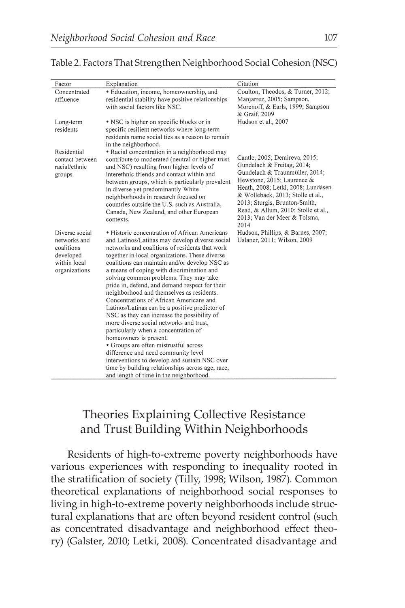| Factor                                                                                     | Explanation                                                                                                                                                                                                                                                                                                                                                                                                                                                                                                                                                                                                                                                                                                                                                                                                                                                                                                                         | Citation                                                                                                                                                                                                                                                                                                               |
|--------------------------------------------------------------------------------------------|-------------------------------------------------------------------------------------------------------------------------------------------------------------------------------------------------------------------------------------------------------------------------------------------------------------------------------------------------------------------------------------------------------------------------------------------------------------------------------------------------------------------------------------------------------------------------------------------------------------------------------------------------------------------------------------------------------------------------------------------------------------------------------------------------------------------------------------------------------------------------------------------------------------------------------------|------------------------------------------------------------------------------------------------------------------------------------------------------------------------------------------------------------------------------------------------------------------------------------------------------------------------|
| Concentrated<br>affluence                                                                  | • Education, income, homeownership, and<br>residential stability have positive relationships<br>with social factors like NSC.                                                                                                                                                                                                                                                                                                                                                                                                                                                                                                                                                                                                                                                                                                                                                                                                       | Coulton, Theodos, & Turner, 2012;<br>Manjarrez, 2005; Sampson,<br>Morenoff, & Earls, 1999; Sampson<br>& Graif, 2009                                                                                                                                                                                                    |
| Long-term<br>residents                                                                     | • NSC is higher on specific blocks or in<br>specific resilient networks where long-term<br>residents name social ties as a reason to remain<br>in the neighborhood.                                                                                                                                                                                                                                                                                                                                                                                                                                                                                                                                                                                                                                                                                                                                                                 | Hudson et al., 2007                                                                                                                                                                                                                                                                                                    |
| Residential<br>contact between<br>racial/ethnic<br>groups                                  | • Racial concentration in a neighborhood may<br>contribute to moderated (neutral or higher trust<br>and NSC) resulting from higher levels of<br>interethnic friends and contact within and<br>between groups, which is particularly prevalent<br>in diverse yet predominantly White<br>neighborhoods in research focused on<br>countries outside the U.S. such as Australia,<br>Canada, New Zealand, and other European<br>contexts.                                                                                                                                                                                                                                                                                                                                                                                                                                                                                                | Cantle, 2005; Demireva, 2015;<br>Gundelach & Freitag, 2014;<br>Gundelach & Traunmüller, 2014;<br>Hewstone, 2015; Laurence &<br>Heath, 2008; Letki, 2008; Lundåsen<br>& Wollebaek, 2013; Stolle et al.,<br>2013; Sturgis, Brunton-Smith,<br>Read, & Allum, 2010; Stolle et al.,<br>2013; Van der Meer & Tolsma,<br>2014 |
| Diverse social<br>networks and<br>coalitions<br>developed<br>within local<br>organizations | • Historic concentration of African Americans<br>and Latinos/Latinas may develop diverse social<br>networks and coalitions of residents that work<br>together in local organizations. These diverse<br>coalitions can maintain and/or develop NSC as<br>a means of coping with discrimination and<br>solving common problems. They may take<br>pride in, defend, and demand respect for their<br>neighborhood and themselves as residents.<br>Concentrations of African Americans and<br>Latinos/Latinas can be a positive predictor of<br>NSC as they can increase the possibility of<br>more diverse social networks and trust,<br>particularly when a concentration of<br>homeowners is present.<br>• Groups are often mistrustful across<br>difference and need community level<br>interventions to develop and sustain NSC over<br>time by building relationships across age, race,<br>and length of time in the neighborhood. | Hudson, Phillips, & Barnes, 2007;<br>Uslaner, 2011; Wilson, 2009                                                                                                                                                                                                                                                       |

#### Table 2. Factors That Strengthen Neighborhood Social Cohesion (NSC)

## Theories Explaining Collective Resistance and Trust Building Within Neighborhoods

Residents of high-to-extreme poverty neighborhoods have various experiences with responding to inequality rooted in the stratification of society (Tilly, 1998; Wilson, 1987). Common theoretical explanations of neighborhood social responses to living in high-to-extreme poverty neighborhoods include structural explanations that are often beyond resident control (such as concentrated disadvantage and neighborhood effect theory) (Galster, 2010; Letki, 2008). Concentrated disadvantage and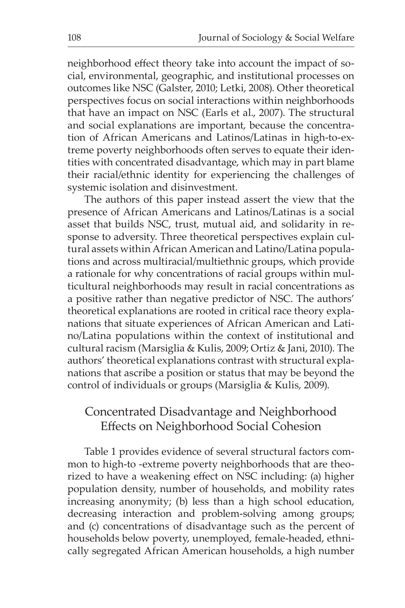neighborhood effect theory take into account the impact of social, environmental, geographic, and institutional processes on outcomes like NSC (Galster, 2010; Letki, 2008). Other theoretical perspectives focus on social interactions within neighborhoods that have an impact on NSC (Earls et al., 2007). The structural and social explanations are important, because the concentration of African Americans and Latinos/Latinas in high-to-extreme poverty neighborhoods often serves to equate their identities with concentrated disadvantage, which may in part blame their racial/ethnic identity for experiencing the challenges of systemic isolation and disinvestment.

The authors of this paper instead assert the view that the presence of African Americans and Latinos/Latinas is a social asset that builds NSC, trust, mutual aid, and solidarity in response to adversity. Three theoretical perspectives explain cultural assets within African American and Latino/Latina populations and across multiracial/multiethnic groups, which provide a rationale for why concentrations of racial groups within multicultural neighborhoods may result in racial concentrations as a positive rather than negative predictor of NSC. The authors' theoretical explanations are rooted in critical race theory explanations that situate experiences of African American and Latino/Latina populations within the context of institutional and cultural racism (Marsiglia & Kulis, 2009; Ortiz & Jani, 2010). The authors' theoretical explanations contrast with structural explanations that ascribe a position or status that may be beyond the control of individuals or groups (Marsiglia & Kulis, 2009).

## Concentrated Disadvantage and Neighborhood Effects on Neighborhood Social Cohesion

Table 1 provides evidence of several structural factors common to high-to -extreme poverty neighborhoods that are theorized to have a weakening effect on NSC including: (a) higher population density, number of households, and mobility rates increasing anonymity; (b) less than a high school education, decreasing interaction and problem-solving among groups; and (c) concentrations of disadvantage such as the percent of households below poverty, unemployed, female-headed, ethnically segregated African American households, a high number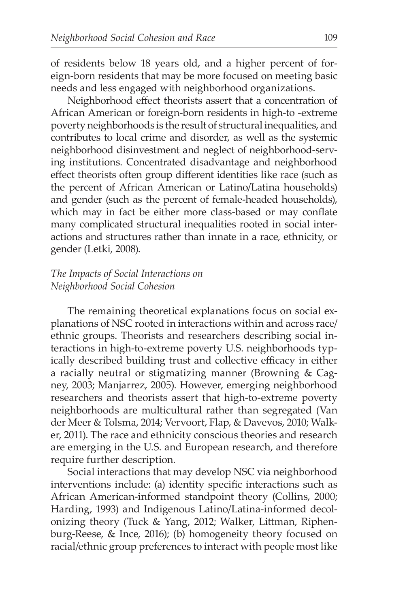of residents below 18 years old, and a higher percent of foreign-born residents that may be more focused on meeting basic needs and less engaged with neighborhood organizations.

Neighborhood effect theorists assert that a concentration of African American or foreign-born residents in high-to -extreme poverty neighborhoods is the result of structural inequalities, and contributes to local crime and disorder, as well as the systemic neighborhood disinvestment and neglect of neighborhood-serving institutions. Concentrated disadvantage and neighborhood effect theorists often group different identities like race (such as the percent of African American or Latino/Latina households) and gender (such as the percent of female-headed households), which may in fact be either more class-based or may conflate many complicated structural inequalities rooted in social interactions and structures rather than innate in a race, ethnicity, or gender (Letki, 2008).

#### *The Impacts of Social Interactions on Neighborhood Social Cohesion*

The remaining theoretical explanations focus on social explanations of NSC rooted in interactions within and across race/ ethnic groups. Theorists and researchers describing social interactions in high-to-extreme poverty U.S. neighborhoods typically described building trust and collective efficacy in either a racially neutral or stigmatizing manner (Browning & Cagney, 2003; Manjarrez, 2005). However, emerging neighborhood researchers and theorists assert that high-to-extreme poverty neighborhoods are multicultural rather than segregated (Van der Meer & Tolsma, 2014; Vervoort, Flap, & Davevos, 2010; Walker, 2011). The race and ethnicity conscious theories and research are emerging in the U.S. and European research, and therefore require further description.

Social interactions that may develop NSC via neighborhood interventions include: (a) identity specific interactions such as African American-informed standpoint theory (Collins, 2000; Harding, 1993) and Indigenous Latino/Latina-informed decolonizing theory (Tuck & Yang, 2012; Walker, Littman, Riphenburg-Reese, & Ince, 2016); (b) homogeneity theory focused on racial/ethnic group preferences to interact with people most like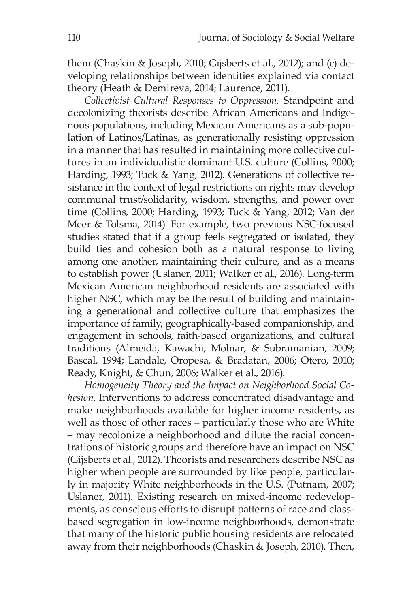them (Chaskin & Joseph, 2010; Gijsberts et al., 2012); and (c) developing relationships between identities explained via contact theory (Heath & Demireva, 2014; Laurence, 2011).

*Collectivist Cultural Responses to Oppression.* Standpoint and decolonizing theorists describe African Americans and Indigenous populations, including Mexican Americans as a sub-population of Latinos/Latinas, as generationally resisting oppression in a manner that has resulted in maintaining more collective cultures in an individualistic dominant U.S. culture (Collins, 2000; Harding, 1993; Tuck & Yang, 2012). Generations of collective resistance in the context of legal restrictions on rights may develop communal trust/solidarity, wisdom, strengths, and power over time (Collins, 2000; Harding, 1993; Tuck & Yang, 2012; Van der Meer & Tolsma, 2014). For example, two previous NSC-focused studies stated that if a group feels segregated or isolated, they build ties and cohesion both as a natural response to living among one another, maintaining their culture, and as a means to establish power (Uslaner, 2011; Walker et al., 2016). Long-term Mexican American neighborhood residents are associated with higher NSC, which may be the result of building and maintaining a generational and collective culture that emphasizes the importance of family, geographically-based companionship, and engagement in schools, faith-based organizations, and cultural traditions (Almeida, Kawachi, Molnar, & Subramanian, 2009; Bascal, 1994; Landale, Oropesa, & Bradatan, 2006; Otero, 2010; Ready, Knight, & Chun, 2006; Walker et al., 2016).

*Homogeneity Theory and the Impact on Neighborhood Social Cohesion.* Interventions to address concentrated disadvantage and make neighborhoods available for higher income residents, as well as those of other races – particularly those who are White – may recolonize a neighborhood and dilute the racial concentrations of historic groups and therefore have an impact on NSC (Gijsberts et al., 2012). Theorists and researchers describe NSC as higher when people are surrounded by like people, particularly in majority White neighborhoods in the U.S. (Putnam, 2007; Uslaner, 2011). Existing research on mixed-income redevelopments, as conscious efforts to disrupt patterns of race and classbased segregation in low-income neighborhoods, demonstrate that many of the historic public housing residents are relocated away from their neighborhoods (Chaskin & Joseph, 2010). Then,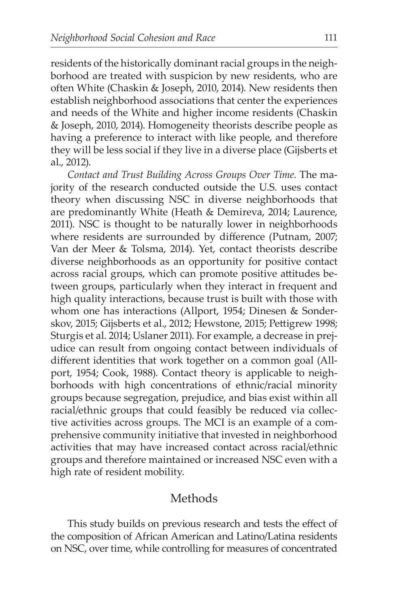residents of the historically dominant racial groups in the neighborhood are treated with suspicion by new residents, who are often White (Chaskin & Joseph, 2010, 2014). New residents then establish neighborhood associations that center the experiences and needs of the White and higher income residents (Chaskin & Joseph, 2010, 2014). Homogeneity theorists describe people as having a preference to interact with like people, and therefore they will be less social if they live in a diverse place (Gijsberts et al., 2012).

*Contact and Trust Building Across Groups Over Time.* The majority of the research conducted outside the U.S. uses contact theory when discussing NSC in diverse neighborhoods that are predominantly White (Heath & Demireva, 2014; Laurence, 2011). NSC is thought to be naturally lower in neighborhoods where residents are surrounded by difference (Putnam, 2007; Van der Meer & Tolsma, 2014). Yet, contact theorists describe diverse neighborhoods as an opportunity for positive contact across racial groups, which can promote positive attitudes between groups, particularly when they interact in frequent and high quality interactions, because trust is built with those with whom one has interactions (Allport, 1954; Dinesen & Sonderskov, 2015; Gijsberts et al., 2012; Hewstone, 2015; Pettigrew 1998; Sturgis et al. 2014; Uslaner 2011). For example, a decrease in prejudice can result from ongoing contact between individuals of different identities that work together on a common goal (Allport, 1954; Cook, 1988). Contact theory is applicable to neighborhoods with high concentrations of ethnic/racial minority groups because segregation, prejudice, and bias exist within all racial/ethnic groups that could feasibly be reduced via collective activities across groups. The MCI is an example of a comprehensive community initiative that invested in neighborhood activities that may have increased contact across racial/ethnic groups and therefore maintained or increased NSC even with a high rate of resident mobility.

## Methods

This study builds on previous research and tests the effect of the composition of African American and Latino/Latina residents on NSC, over time, while controlling for measures of concentrated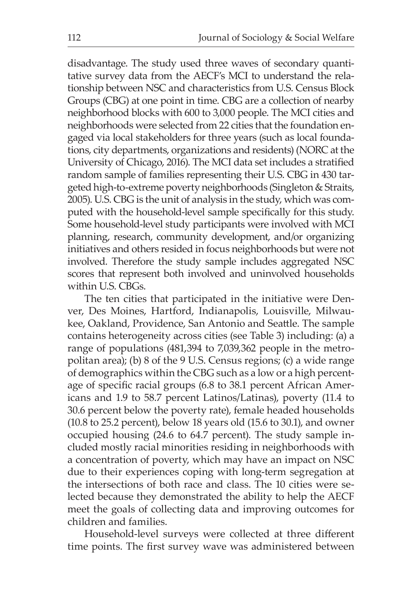disadvantage. The study used three waves of secondary quantitative survey data from the AECF's MCI to understand the relationship between NSC and characteristics from U.S. Census Block Groups (CBG) at one point in time. CBG are a collection of nearby neighborhood blocks with 600 to 3,000 people. The MCI cities and neighborhoods were selected from 22 cities that the foundation engaged via local stakeholders for three years (such as local foundations, city departments, organizations and residents) (NORC at the University of Chicago, 2016). The MCI data set includes a stratified random sample of families representing their U.S. CBG in 430 targeted high-to-extreme poverty neighborhoods (Singleton & Straits, 2005). U.S. CBG is the unit of analysis in the study, which was computed with the household-level sample specifically for this study. Some household-level study participants were involved with MCI planning, research, community development, and/or organizing initiatives and others resided in focus neighborhoods but were not involved. Therefore the study sample includes aggregated NSC scores that represent both involved and uninvolved households within U.S. CBGs.

The ten cities that participated in the initiative were Denver, Des Moines, Hartford, Indianapolis, Louisville, Milwaukee, Oakland, Providence, San Antonio and Seattle. The sample contains heterogeneity across cities (see Table 3) including: (a) a range of populations (481,394 to 7,039,362 people in the metropolitan area); (b) 8 of the 9 U.S. Census regions; (c) a wide range of demographics within the CBG such as a low or a high percentage of specific racial groups (6.8 to 38.1 percent African Americans and 1.9 to 58.7 percent Latinos/Latinas), poverty (11.4 to 30.6 percent below the poverty rate), female headed households (10.8 to 25.2 percent), below 18 years old (15.6 to 30.1), and owner occupied housing (24.6 to 64.7 percent). The study sample included mostly racial minorities residing in neighborhoods with a concentration of poverty, which may have an impact on NSC due to their experiences coping with long-term segregation at the intersections of both race and class. The 10 cities were selected because they demonstrated the ability to help the AECF meet the goals of collecting data and improving outcomes for children and families.

Household-level surveys were collected at three different time points. The first survey wave was administered between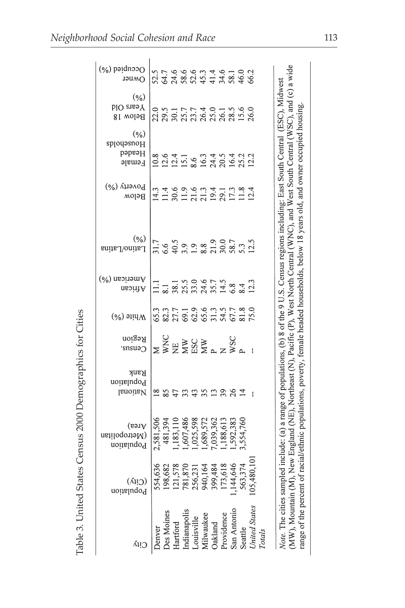| $(\%)$ paidnooo<br><b>OWner</b>                 | ちてんとうきょうしのことにはあるところになるとこれます。                                                                                                |          |                                                                                |         |          |            |             |        |                                           |                                                                                                                                               |
|-------------------------------------------------|-----------------------------------------------------------------------------------------------------------------------------|----------|--------------------------------------------------------------------------------|---------|----------|------------|-------------|--------|-------------------------------------------|-----------------------------------------------------------------------------------------------------------------------------------------------|
| $(\frac{6}{6})$<br>Years Old<br><b>Below 18</b> |                                                                                                                             |          |                                                                                |         |          |            |             |        |                                           | WSC), and $(c)$ a wid                                                                                                                         |
| $(\%)$<br>spjoyəsnoH<br>Headed<br>Female        |                                                                                                                             |          |                                                                                |         |          |            |             |        |                                           |                                                                                                                                               |
| Роverty (%)<br>Below                            |                                                                                                                             |          |                                                                                |         |          |            |             |        |                                           |                                                                                                                                               |
| $(\frac{6}{6})$<br>Latino/Latina                | $31.7$<br>$6.6$ 5<br>$9.9$ 9.8 21, 2007<br>$2.5$<br>$2.5$<br>$2.5$<br>$2.5$<br>$2.5$                                        |          |                                                                                |         |          |            |             |        |                                           | female headed households, below 18 years old, and owner occupied housing<br>N), Pacific (P), West North Central (WNC), and West South Central |
| $(\%)$ nesitom $\Diamond$<br>African            | $11.1$<br>$2.3$ $3.5$ $3.6$ $3.6$ $5.7$<br>$5.7$ $5.7$ $5.7$<br>$5.7$<br>$5.7$<br>$5.7$<br>$5.7$<br>$5.7$<br>$5.7$<br>$5.7$ |          |                                                                                |         |          |            |             |        |                                           |                                                                                                                                               |
| $M$ hite $(\%)$                                 |                                                                                                                             |          |                                                                                |         |          |            |             |        |                                           |                                                                                                                                               |
| Region<br>$C$ cusn's                            |                                                                                                                             |          |                                                                                |         |          |            |             |        |                                           |                                                                                                                                               |
| Rank<br>Population<br>National                  | n 85 # 35 # 55 # 5                                                                                                          |          |                                                                                |         |          |            |             |        |                                           | ed include: (a) a range of populations, (b) 8 of the 9 U.S. Census regions including: East South Central (ESC), Midwest                       |
| Area)<br>(Metropolitan<br>Population            | 2,581,506<br>481,394                                                                                                        | ,183,111 | ,025,598<br>1,607,486                                                          | ,689,57 | ,039,362 | ,188,613   | ,592,383    | 554,76 |                                           | racial/ethnic populations, poverty,<br>(HK)<br>New England (                                                                                  |
| (City)<br>Population                            | 554,636<br>198,682<br>121,578<br>121,578<br>256,231<br>2563,374<br>173,618<br>174,646                                       |          |                                                                                |         |          |            |             |        |                                           |                                                                                                                                               |
|                                                 | <b>Jenver</b>                                                                                                               |          | Des Moines<br>Hartford<br>Indianapolis<br>Louisville<br>Milwaukee<br>Milwaukee |         |          | Providence | San Antonio |        | Seattle<br>United States<br><b>Totals</b> | Note. The cities sample<br>range of the percent of<br>(MW), Mountain (M)                                                                      |

Table 3. United States Census 2000 Demographics for Cities Table 3. United States Census 2000 Demographics for Cities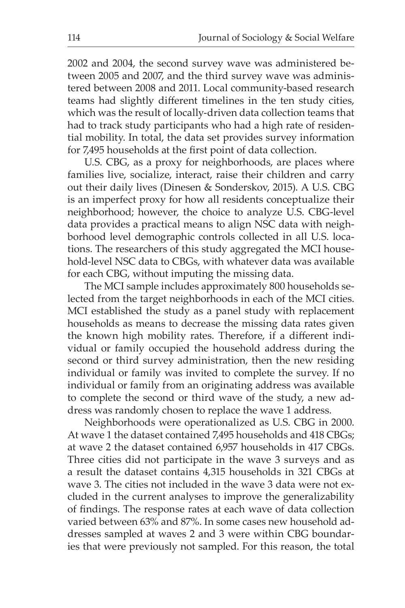2002 and 2004, the second survey wave was administered between 2005 and 2007, and the third survey wave was administered between 2008 and 2011. Local community-based research teams had slightly different timelines in the ten study cities, which was the result of locally-driven data collection teams that had to track study participants who had a high rate of residential mobility. In total, the data set provides survey information for 7,495 households at the first point of data collection.

U.S. CBG, as a proxy for neighborhoods, are places where families live, socialize, interact, raise their children and carry out their daily lives (Dinesen & Sonderskov, 2015). A U.S. CBG is an imperfect proxy for how all residents conceptualize their neighborhood; however, the choice to analyze U.S. CBG-level data provides a practical means to align NSC data with neighborhood level demographic controls collected in all U.S. locations. The researchers of this study aggregated the MCI household-level NSC data to CBGs, with whatever data was available for each CBG, without imputing the missing data.

The MCI sample includes approximately 800 households selected from the target neighborhoods in each of the MCI cities. MCI established the study as a panel study with replacement households as means to decrease the missing data rates given the known high mobility rates. Therefore, if a different individual or family occupied the household address during the second or third survey administration, then the new residing individual or family was invited to complete the survey. If no individual or family from an originating address was available to complete the second or third wave of the study, a new address was randomly chosen to replace the wave 1 address.

Neighborhoods were operationalized as U.S. CBG in 2000. At wave 1 the dataset contained 7,495 households and 418 CBGs; at wave 2 the dataset contained 6,957 households in 417 CBGs. Three cities did not participate in the wave 3 surveys and as a result the dataset contains 4,315 households in 321 CBGs at wave 3. The cities not included in the wave 3 data were not excluded in the current analyses to improve the generalizability of findings. The response rates at each wave of data collection varied between 63% and 87%. In some cases new household addresses sampled at waves 2 and 3 were within CBG boundaries that were previously not sampled. For this reason, the total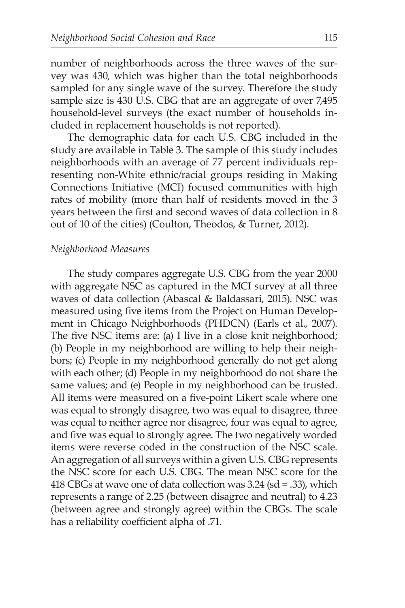number of neighborhoods across the three waves of the survey was 430, which was higher than the total neighborhoods sampled for any single wave of the survey. Therefore the study sample size is 430 U.S. CBG that are an aggregate of over 7,495 household-level surveys (the exact number of households included in replacement households is not reported).

The demographic data for each U.S. CBG included in the study are available in Table 3. The sample of this study includes neighborhoods with an average of 77 percent individuals representing non-White ethnic/racial groups residing in Making Connections Initiative (MCI) focused communities with high rates of mobility (more than half of residents moved in the 3 years between the first and second waves of data collection in 8 out of 10 of the cities) (Coulton, Theodos, & Turner, 2012).

#### *Neighborhood Measures*

The study compares aggregate U.S. CBG from the year 2000 with aggregate NSC as captured in the MCI survey at all three waves of data collection (Abascal & Baldassari, 2015). NSC was measured using five items from the Project on Human Development in Chicago Neighborhoods (PHDCN) (Earls et al., 2007). The five NSC items are: (a) I live in a close knit neighborhood; (b) People in my neighborhood are willing to help their neighbors; (c) People in my neighborhood generally do not get along with each other; (d) People in my neighborhood do not share the same values; and (e) People in my neighborhood can be trusted. All items were measured on a five-point Likert scale where one was equal to strongly disagree, two was equal to disagree, three was equal to neither agree nor disagree, four was equal to agree, and five was equal to strongly agree. The two negatively worded items were reverse coded in the construction of the NSC scale. An aggregation of all surveys within a given U.S. CBG represents the NSC score for each U.S. CBG. The mean NSC score for the 418 CBGs at wave one of data collection was 3.24 (sd = .33), which represents a range of 2.25 (between disagree and neutral) to 4.23 (between agree and strongly agree) within the CBGs. The scale has a reliability coefficient alpha of .71.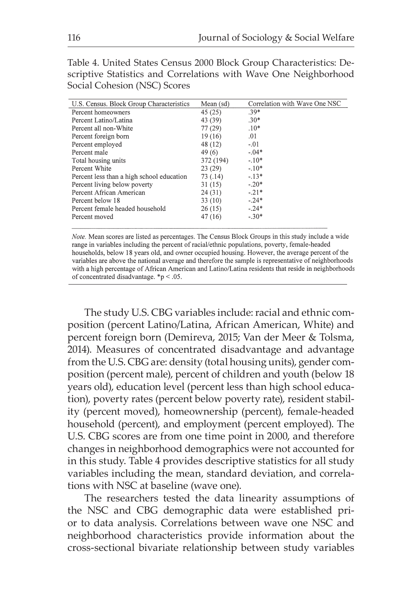Table 4. United States Census 2000 Block Group Characteristics: Descriptive Statistics and Correlations with Wave One Neighborhood Social Cohesion (NSC) Scores

| U.S. Census. Block Group Characteristics  | Mean (sd) | Correlation with Wave One NSC |
|-------------------------------------------|-----------|-------------------------------|
| Percent homeowners                        | 45(25)    | $.39*$                        |
| Percent Latino/Latina                     | 43 (39)   | $.30*$                        |
| Percent all non-White                     | 77(29)    | $.10*$                        |
| Percent foreign born                      | 19(16)    | .01                           |
| Percent employed                          | 48 (12)   | $-.01$                        |
| Percent male                              | 49(6)     | $-.04*$                       |
| Total housing units                       | 372 (194) | $-10*$                        |
| Percent White                             | 23(29)    | $-.10*$                       |
| Percent less than a high school education | 73 (.14)  | $-.13*$                       |
| Percent living below poverty              | 31(15)    | $-20*$                        |
| Percent African American                  | 24(31)    | $-21*$                        |
| Percent below 18                          | 33(10)    | $-.24*$                       |
| Percent female headed household           | 26(15)    | $-.24*$                       |
| Percent moved                             | 47 (16)   | $-.30*$                       |

Note. Mean scores are listed as percentages. The Census Block Groups in this study include a wide range in variables including the percent of racial/ethnic populations, poverty, female-headed households, below 18 years old, and owner occupied housing. However, the average percent of the variables are above the national average and therefore the sample is representative of neighborhoods with a high percentage of African American and Latino/Latina residents that reside in neighborhoods of concentrated disadvantage.  $*$ p < .05.

The study U.S. CBG variables include: racial and ethnic composition (percent Latino/Latina, African American, White) and percent foreign born (Demireva, 2015; Van der Meer & Tolsma, 2014). Measures of concentrated disadvantage and advantage from the U.S. CBG are: density (total housing units), gender composition (percent male), percent of children and youth (below 18 years old), education level (percent less than high school education), poverty rates (percent below poverty rate), resident stability (percent moved), homeownership (percent), female-headed household (percent), and employment (percent employed). The U.S. CBG scores are from one time point in 2000, and therefore changes in neighborhood demographics were not accounted for in this study. Table 4 provides descriptive statistics for all study variables including the mean, standard deviation, and correlations with NSC at baseline (wave one).

The researchers tested the data linearity assumptions of the NSC and CBG demographic data were established prior to data analysis. Correlations between wave one NSC and neighborhood characteristics provide information about the cross-sectional bivariate relationship between study variables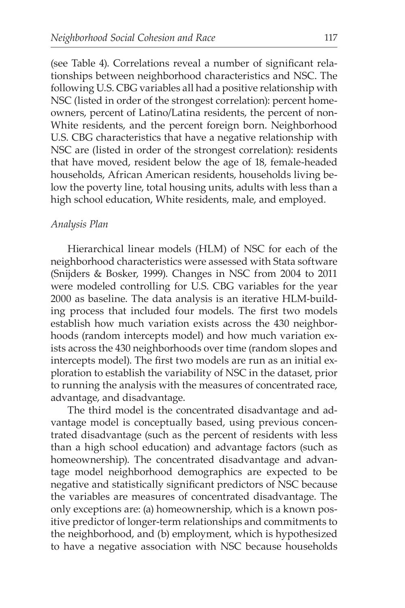(see Table 4). Correlations reveal a number of significant relationships between neighborhood characteristics and NSC. The following U.S. CBG variables all had a positive relationship with NSC (listed in order of the strongest correlation): percent homeowners, percent of Latino/Latina residents, the percent of non-White residents, and the percent foreign born. Neighborhood U.S. CBG characteristics that have a negative relationship with NSC are (listed in order of the strongest correlation): residents that have moved, resident below the age of 18, female-headed households, African American residents, households living below the poverty line, total housing units, adults with less than a high school education, White residents, male, and employed.

#### *Analysis Plan*

Hierarchical linear models (HLM) of NSC for each of the neighborhood characteristics were assessed with Stata software (Snijders & Bosker, 1999). Changes in NSC from 2004 to 2011 were modeled controlling for U.S. CBG variables for the year 2000 as baseline. The data analysis is an iterative HLM-building process that included four models. The first two models establish how much variation exists across the 430 neighborhoods (random intercepts model) and how much variation exists across the 430 neighborhoods over time (random slopes and intercepts model). The first two models are run as an initial exploration to establish the variability of NSC in the dataset, prior to running the analysis with the measures of concentrated race, advantage, and disadvantage.

The third model is the concentrated disadvantage and advantage model is conceptually based, using previous concentrated disadvantage (such as the percent of residents with less than a high school education) and advantage factors (such as homeownership). The concentrated disadvantage and advantage model neighborhood demographics are expected to be negative and statistically significant predictors of NSC because the variables are measures of concentrated disadvantage. The only exceptions are: (a) homeownership, which is a known positive predictor of longer-term relationships and commitments to the neighborhood, and (b) employment, which is hypothesized to have a negative association with NSC because households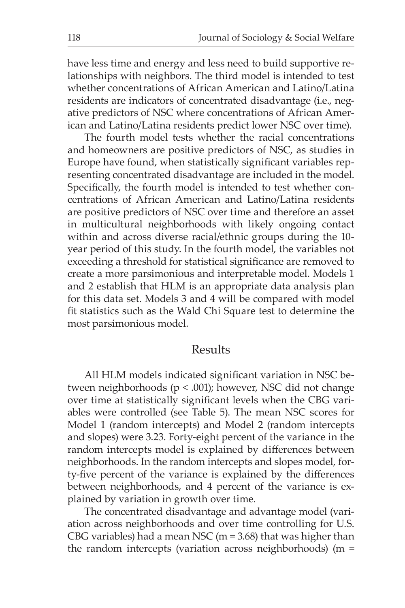have less time and energy and less need to build supportive relationships with neighbors. The third model is intended to test whether concentrations of African American and Latino/Latina residents are indicators of concentrated disadvantage (i.e., negative predictors of NSC where concentrations of African American and Latino/Latina residents predict lower NSC over time).

The fourth model tests whether the racial concentrations and homeowners are positive predictors of NSC, as studies in Europe have found, when statistically significant variables representing concentrated disadvantage are included in the model. Specifically, the fourth model is intended to test whether concentrations of African American and Latino/Latina residents are positive predictors of NSC over time and therefore an asset in multicultural neighborhoods with likely ongoing contact within and across diverse racial/ethnic groups during the 10 year period of this study. In the fourth model, the variables not exceeding a threshold for statistical significance are removed to create a more parsimonious and interpretable model. Models 1 and 2 establish that HLM is an appropriate data analysis plan for this data set. Models 3 and 4 will be compared with model fit statistics such as the Wald Chi Square test to determine the most parsimonious model.

#### Results

All HLM models indicated significant variation in NSC between neighborhoods ( $p < .001$ ); however, NSC did not change over time at statistically significant levels when the CBG variables were controlled (see Table 5). The mean NSC scores for Model 1 (random intercepts) and Model 2 (random intercepts and slopes) were 3.23. Forty-eight percent of the variance in the random intercepts model is explained by differences between neighborhoods. In the random intercepts and slopes model, forty-five percent of the variance is explained by the differences between neighborhoods, and 4 percent of the variance is explained by variation in growth over time.

The concentrated disadvantage and advantage model (variation across neighborhoods and over time controlling for U.S. CBG variables) had a mean NSC (m =  $3.68$ ) that was higher than the random intercepts (variation across neighborhoods) (m =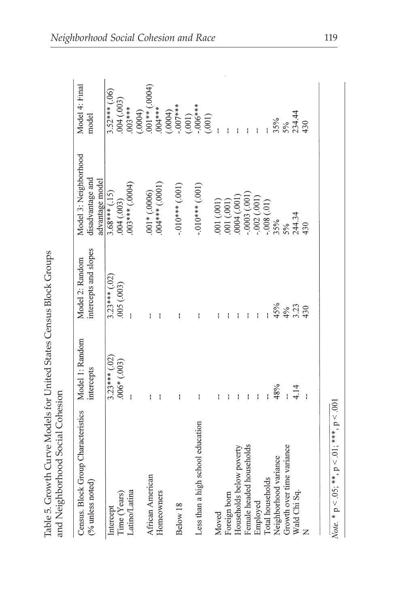| Census. Block Group Characteristics Model 1: Random |                 | Model 2: Random       | Model 3: Neighborhood               | Model 4: Final                                |
|-----------------------------------------------------|-----------------|-----------------------|-------------------------------------|-----------------------------------------------|
| $(%$ unless noted)                                  | intercepts      | intercepts and slopes | disadvantage and<br>advantage model | model                                         |
| Intercept                                           | $3.23***$ (.02) | $3.23***$ (.02)       | $3.68***(.15)$                      | $3.52***$ (.06)                               |
| Time (Years)                                        | $.006*(.003)$   | $(500)$ 500.          | .004(.003)                          | .004(003)                                     |
| Latino/Latina                                       |                 |                       | $(10001)$ *** $(0004)$              | $003***$                                      |
|                                                     |                 |                       |                                     | $(0.0004)$<br>$0.001**$ (.0004)<br>$0.004***$ |
| African American                                    | ł               |                       | $.001*(.0006)$                      |                                               |
| Homeowners                                          | ł               |                       | $(10001)$ *** $(0001)$              |                                               |
|                                                     |                 |                       |                                     | $-007***$<br>(0004)                           |
| Below 18                                            | ł               | ł                     | $-.010***(.001)$                    | (.001)                                        |
| Less than a high school education                   | ł               |                       | $-.010***$ (.001)                   | $006***$                                      |
|                                                     |                 |                       |                                     | (.001)                                        |
| Moved                                               |                 |                       | (001)(001)                          |                                               |
| Foreign born                                        |                 |                       | 001(001)                            |                                               |
| Households below poverty                            |                 |                       | (1001)                              |                                               |
| Female headed households                            | ł               |                       | $-0003(0001)$                       |                                               |
| Employed                                            | ł               | ł                     | $-002(001)$                         |                                               |
| Total households                                    |                 |                       | $-.008(.01)$                        |                                               |
| Neighborhood variance                               | 48%             | 45%                   | 35%                                 | 35%                                           |
| Growth over time variance                           |                 | 4%                    | 5%                                  | 5%                                            |
| Wald Chi Sq.                                        | 4.14            | 3.23                  | 244.34                              | 234.44                                        |
| $\overline{z}$                                      |                 | 430                   | 430                                 | 430                                           |

*Note*. \*  $p < .05$ ; \*\*,  $p < .01$ ; \*\*\*,  $p < .001$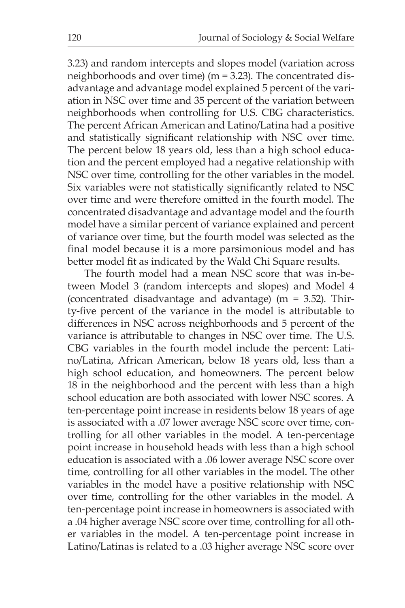3.23) and random intercepts and slopes model (variation across neighborhoods and over time) (m = 3.23). The concentrated disadvantage and advantage model explained 5 percent of the variation in NSC over time and 35 percent of the variation between neighborhoods when controlling for U.S. CBG characteristics. The percent African American and Latino/Latina had a positive and statistically significant relationship with NSC over time. The percent below 18 years old, less than a high school education and the percent employed had a negative relationship with NSC over time, controlling for the other variables in the model. Six variables were not statistically significantly related to NSC over time and were therefore omitted in the fourth model. The concentrated disadvantage and advantage model and the fourth model have a similar percent of variance explained and percent of variance over time, but the fourth model was selected as the final model because it is a more parsimonious model and has better model fit as indicated by the Wald Chi Square results.

The fourth model had a mean NSC score that was in-between Model 3 (random intercepts and slopes) and Model 4 (concentrated disadvantage and advantage) (m = 3.52). Thirty-five percent of the variance in the model is attributable to differences in NSC across neighborhoods and 5 percent of the variance is attributable to changes in NSC over time. The U.S. CBG variables in the fourth model include the percent: Latino/Latina, African American, below 18 years old, less than a high school education, and homeowners. The percent below 18 in the neighborhood and the percent with less than a high school education are both associated with lower NSC scores. A ten-percentage point increase in residents below 18 years of age is associated with a .07 lower average NSC score over time, controlling for all other variables in the model. A ten-percentage point increase in household heads with less than a high school education is associated with a .06 lower average NSC score over time, controlling for all other variables in the model. The other variables in the model have a positive relationship with NSC over time, controlling for the other variables in the model. A ten-percentage point increase in homeowners is associated with a .04 higher average NSC score over time, controlling for all other variables in the model. A ten-percentage point increase in Latino/Latinas is related to a .03 higher average NSC score over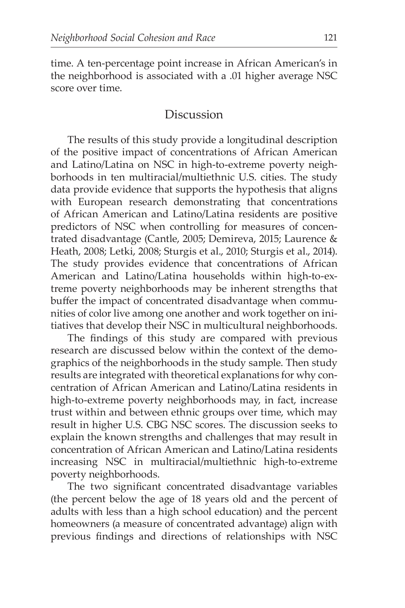time. A ten-percentage point increase in African American's in the neighborhood is associated with a .01 higher average NSC score over time.

## **Discussion**

The results of this study provide a longitudinal description of the positive impact of concentrations of African American and Latino/Latina on NSC in high-to-extreme poverty neighborhoods in ten multiracial/multiethnic U.S. cities. The study data provide evidence that supports the hypothesis that aligns with European research demonstrating that concentrations of African American and Latino/Latina residents are positive predictors of NSC when controlling for measures of concentrated disadvantage (Cantle, 2005; Demireva, 2015; Laurence & Heath, 2008; Letki, 2008; Sturgis et al., 2010; Sturgis et al., 2014). The study provides evidence that concentrations of African American and Latino/Latina households within high-to-extreme poverty neighborhoods may be inherent strengths that buffer the impact of concentrated disadvantage when communities of color live among one another and work together on initiatives that develop their NSC in multicultural neighborhoods.

The findings of this study are compared with previous research are discussed below within the context of the demographics of the neighborhoods in the study sample. Then study results are integrated with theoretical explanations for why concentration of African American and Latino/Latina residents in high-to-extreme poverty neighborhoods may, in fact, increase trust within and between ethnic groups over time, which may result in higher U.S. CBG NSC scores. The discussion seeks to explain the known strengths and challenges that may result in concentration of African American and Latino/Latina residents increasing NSC in multiracial/multiethnic high-to-extreme poverty neighborhoods.

The two significant concentrated disadvantage variables (the percent below the age of 18 years old and the percent of adults with less than a high school education) and the percent homeowners (a measure of concentrated advantage) align with previous findings and directions of relationships with NSC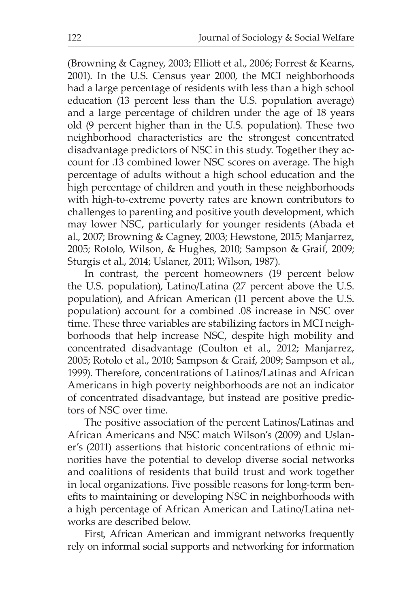(Browning & Cagney, 2003; Elliott et al., 2006; Forrest & Kearns, 2001). In the U.S. Census year 2000, the MCI neighborhoods had a large percentage of residents with less than a high school education (13 percent less than the U.S. population average) and a large percentage of children under the age of 18 years old (9 percent higher than in the U.S. population). These two neighborhood characteristics are the strongest concentrated disadvantage predictors of NSC in this study. Together they account for .13 combined lower NSC scores on average. The high percentage of adults without a high school education and the high percentage of children and youth in these neighborhoods with high-to-extreme poverty rates are known contributors to challenges to parenting and positive youth development, which may lower NSC, particularly for younger residents (Abada et al., 2007; Browning & Cagney, 2003; Hewstone, 2015; Manjarrez, 2005; Rotolo, Wilson, & Hughes, 2010; Sampson & Graif, 2009; Sturgis et al., 2014; Uslaner, 2011; Wilson, 1987).

In contrast, the percent homeowners (19 percent below the U.S. population), Latino/Latina (27 percent above the U.S. population), and African American (11 percent above the U.S. population) account for a combined .08 increase in NSC over time. These three variables are stabilizing factors in MCI neighborhoods that help increase NSC, despite high mobility and concentrated disadvantage (Coulton et al., 2012; Manjarrez, 2005; Rotolo et al., 2010; Sampson & Graif, 2009; Sampson et al., 1999). Therefore, concentrations of Latinos/Latinas and African Americans in high poverty neighborhoods are not an indicator of concentrated disadvantage, but instead are positive predictors of NSC over time.

The positive association of the percent Latinos/Latinas and African Americans and NSC match Wilson's (2009) and Uslaner's (2011) assertions that historic concentrations of ethnic minorities have the potential to develop diverse social networks and coalitions of residents that build trust and work together in local organizations. Five possible reasons for long-term benefits to maintaining or developing NSC in neighborhoods with a high percentage of African American and Latino/Latina networks are described below.

First, African American and immigrant networks frequently rely on informal social supports and networking for information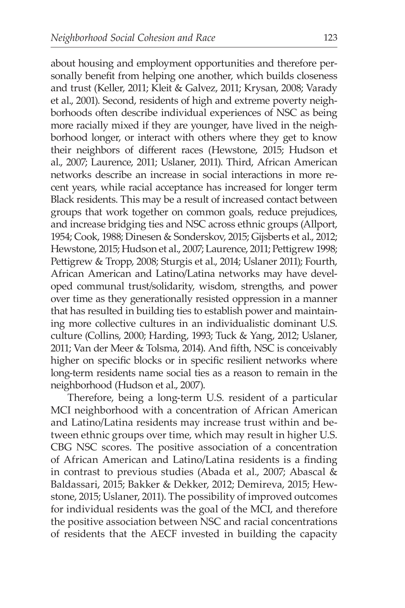about housing and employment opportunities and therefore personally benefit from helping one another, which builds closeness and trust (Keller, 2011; Kleit & Galvez, 2011; Krysan, 2008; Varady et al., 2001). Second, residents of high and extreme poverty neighborhoods often describe individual experiences of NSC as being more racially mixed if they are younger, have lived in the neighborhood longer, or interact with others where they get to know their neighbors of different races (Hewstone, 2015; Hudson et al., 2007; Laurence, 2011; Uslaner, 2011). Third, African American networks describe an increase in social interactions in more recent years, while racial acceptance has increased for longer term Black residents. This may be a result of increased contact between groups that work together on common goals, reduce prejudices, and increase bridging ties and NSC across ethnic groups (Allport, 1954; Cook, 1988; Dinesen & Sonderskov, 2015; Gijsberts et al., 2012; Hewstone, 2015; Hudson et al., 2007; Laurence, 2011; Pettigrew 1998; Pettigrew & Tropp, 2008; Sturgis et al., 2014; Uslaner 2011); Fourth, African American and Latino/Latina networks may have developed communal trust/solidarity, wisdom, strengths, and power over time as they generationally resisted oppression in a manner that has resulted in building ties to establish power and maintaining more collective cultures in an individualistic dominant U.S. culture (Collins, 2000; Harding, 1993; Tuck & Yang, 2012; Uslaner, 2011; Van der Meer & Tolsma, 2014). And fifth, NSC is conceivably higher on specific blocks or in specific resilient networks where long-term residents name social ties as a reason to remain in the neighborhood (Hudson et al., 2007).

Therefore, being a long-term U.S. resident of a particular MCI neighborhood with a concentration of African American and Latino/Latina residents may increase trust within and between ethnic groups over time, which may result in higher U.S. CBG NSC scores. The positive association of a concentration of African American and Latino/Latina residents is a finding in contrast to previous studies (Abada et al., 2007; Abascal & Baldassari, 2015; Bakker & Dekker, 2012; Demireva, 2015; Hewstone, 2015; Uslaner, 2011). The possibility of improved outcomes for individual residents was the goal of the MCI, and therefore the positive association between NSC and racial concentrations of residents that the AECF invested in building the capacity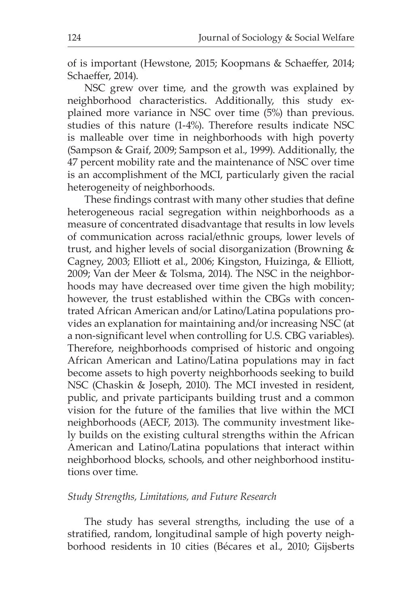of is important (Hewstone, 2015; Koopmans & Schaeffer, 2014; Schaeffer, 2014).

NSC grew over time, and the growth was explained by neighborhood characteristics. Additionally, this study explained more variance in NSC over time (5%) than previous. studies of this nature (1-4%). Therefore results indicate NSC is malleable over time in neighborhoods with high poverty (Sampson & Graif, 2009; Sampson et al., 1999). Additionally, the 47 percent mobility rate and the maintenance of NSC over time is an accomplishment of the MCI, particularly given the racial heterogeneity of neighborhoods.

These findings contrast with many other studies that define heterogeneous racial segregation within neighborhoods as a measure of concentrated disadvantage that results in low levels of communication across racial/ethnic groups, lower levels of trust, and higher levels of social disorganization (Browning & Cagney, 2003; Elliott et al., 2006; Kingston, Huizinga, & Elliott, 2009; Van der Meer & Tolsma, 2014). The NSC in the neighborhoods may have decreased over time given the high mobility; however, the trust established within the CBGs with concentrated African American and/or Latino/Latina populations provides an explanation for maintaining and/or increasing NSC (at a non-significant level when controlling for U.S. CBG variables). Therefore, neighborhoods comprised of historic and ongoing African American and Latino/Latina populations may in fact become assets to high poverty neighborhoods seeking to build NSC (Chaskin & Joseph, 2010). The MCI invested in resident, public, and private participants building trust and a common vision for the future of the families that live within the MCI neighborhoods (AECF, 2013). The community investment likely builds on the existing cultural strengths within the African American and Latino/Latina populations that interact within neighborhood blocks, schools, and other neighborhood institutions over time.

#### *Study Strengths, Limitations, and Future Research*

The study has several strengths, including the use of a stratified, random, longitudinal sample of high poverty neighborhood residents in 10 cities (Bécares et al., 2010; Gijsberts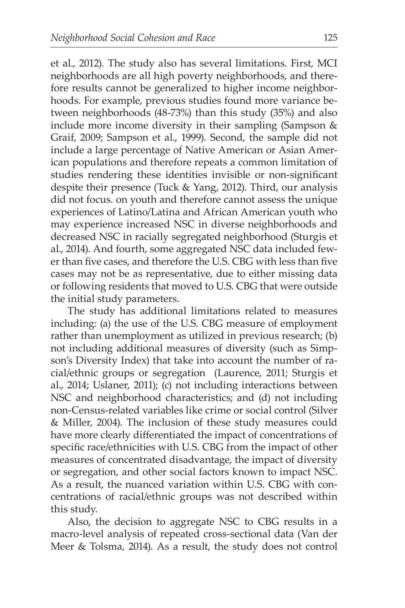et al., 2012). The study also has several limitations. First, MCI neighborhoods are all high poverty neighborhoods, and therefore results cannot be generalized to higher income neighborhoods. For example, previous studies found more variance between neighborhoods (48-73%) than this study (35%) and also include more income diversity in their sampling (Sampson & Graif, 2009; Sampson et al., 1999). Second, the sample did not include a large percentage of Native American or Asian American populations and therefore repeats a common limitation of studies rendering these identities invisible or non-significant despite their presence (Tuck & Yang, 2012). Third, our analysis did not focus. on youth and therefore cannot assess the unique experiences of Latino/Latina and African American youth who may experience increased NSC in diverse neighborhoods and decreased NSC in racially segregated neighborhood (Sturgis et al., 2014). And fourth, some aggregated NSC data included fewer than five cases, and therefore the U.S. CBG with less than five cases may not be as representative, due to either missing data or following residents that moved to U.S. CBG that were outside the initial study parameters.

The study has additional limitations related to measures including: (a) the use of the U.S. CBG measure of employment rather than unemployment as utilized in previous research; (b) not including additional measures of diversity (such as Simpson's Diversity Index) that take into account the number of racial/ethnic groups or segregation (Laurence, 2011; Sturgis et al., 2014; Uslaner, 2011); (c) not including interactions between NSC and neighborhood characteristics; and (d) not including non-Census-related variables like crime or social control (Silver & Miller, 2004). The inclusion of these study measures could have more clearly differentiated the impact of concentrations of specific race/ethnicities with U.S. CBG from the impact of other measures of concentrated disadvantage, the impact of diversity or segregation, and other social factors known to impact NSC. As a result, the nuanced variation within U.S. CBG with concentrations of racial/ethnic groups was not described within this study.

Also, the decision to aggregate NSC to CBG results in a macro-level analysis of repeated cross-sectional data (Van der Meer & Tolsma, 2014). As a result, the study does not control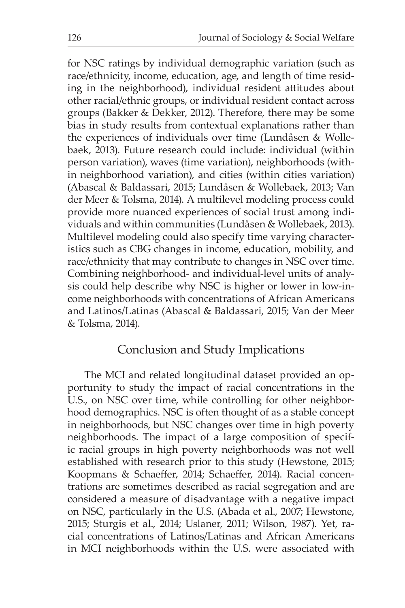for NSC ratings by individual demographic variation (such as race/ethnicity, income, education, age, and length of time residing in the neighborhood), individual resident attitudes about other racial/ethnic groups, or individual resident contact across groups (Bakker & Dekker, 2012). Therefore, there may be some bias in study results from contextual explanations rather than the experiences of individuals over time (Lundåsen & Wollebaek, 2013). Future research could include: individual (within person variation), waves (time variation), neighborhoods (within neighborhood variation), and cities (within cities variation) (Abascal & Baldassari, 2015; Lundåsen & Wollebaek, 2013; Van der Meer & Tolsma, 2014). A multilevel modeling process could provide more nuanced experiences of social trust among individuals and within communities (Lundåsen & Wollebaek, 2013). Multilevel modeling could also specify time varying characteristics such as CBG changes in income, education, mobility, and race/ethnicity that may contribute to changes in NSC over time. Combining neighborhood- and individual-level units of analysis could help describe why NSC is higher or lower in low-income neighborhoods with concentrations of African Americans and Latinos/Latinas (Abascal & Baldassari, 2015; Van der Meer & Tolsma, 2014).

### Conclusion and Study Implications

The MCI and related longitudinal dataset provided an opportunity to study the impact of racial concentrations in the U.S., on NSC over time, while controlling for other neighborhood demographics. NSC is often thought of as a stable concept in neighborhoods, but NSC changes over time in high poverty neighborhoods. The impact of a large composition of specific racial groups in high poverty neighborhoods was not well established with research prior to this study (Hewstone, 2015; Koopmans & Schaeffer, 2014; Schaeffer, 2014). Racial concentrations are sometimes described as racial segregation and are considered a measure of disadvantage with a negative impact on NSC, particularly in the U.S. (Abada et al., 2007; Hewstone, 2015; Sturgis et al., 2014; Uslaner, 2011; Wilson, 1987). Yet, racial concentrations of Latinos/Latinas and African Americans in MCI neighborhoods within the U.S. were associated with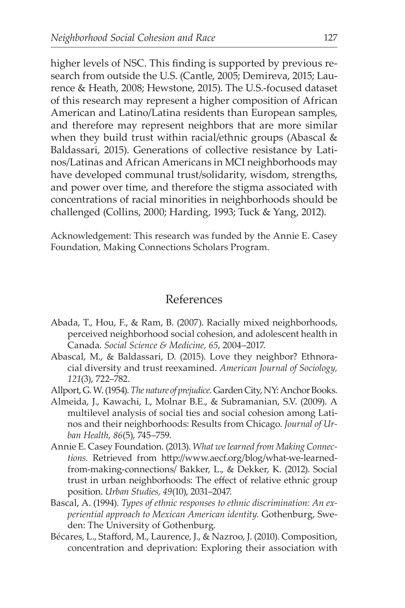higher levels of NSC. This finding is supported by previous research from outside the U.S. (Cantle, 2005; Demireva, 2015; Laurence & Heath, 2008; Hewstone, 2015). The U.S.-focused dataset of this research may represent a higher composition of African American and Latino/Latina residents than European samples, and therefore may represent neighbors that are more similar when they build trust within racial/ethnic groups (Abascal & Baldassari, 2015). Generations of collective resistance by Latinos/Latinas and African Americans in MCI neighborhoods may have developed communal trust/solidarity, wisdom, strengths, and power over time, and therefore the stigma associated with concentrations of racial minorities in neighborhoods should be challenged (Collins, 2000; Harding, 1993; Tuck & Yang, 2012).

Acknowledgement: This research was funded by the Annie E. Casey Foundation, Making Connections Scholars Program.

#### References

- Abada, T., Hou, F., & Ram, B. (2007). Racially mixed neighborhoods, perceived neighborhood social cohesion, and adolescent health in Canada. *Social Science & Medicine, 65*, 2004–2017.
- Abascal, M., & Baldassari, D. (2015). Love they neighbor? Ethnoracial diversity and trust reexamined. *American Journal of Sociology, 121*(3), 722–782.
- Allport, G. W. (1954). *The nature of prejudice.* Garden City, NY: Anchor Books.
- Almeida, J., Kawachi, I., Molnar B.E., & Subramanian, S.V. (2009). A multilevel analysis of social ties and social cohesion among Latinos and their neighborhoods: Results from Chicago. *Journal of Urban Health, 86*(5), 745–759.
- Annie E. Casey Foundation. (2013). *What we learned from Making Connections.* Retrieved from http://www.aecf.org/blog/what-we-learnedfrom-making-connections/ Bakker, L., & Dekker, K. (2012). Social trust in urban neighborhoods: The effect of relative ethnic group position. *Urban Studies, 49*(10), 2031–2047.
- Bascal, A. (1994). *Types of ethnic responses to ethnic discrimination: An experiential approach to Mexican American identity.* Gothenburg, Sweden: The University of Gothenburg.
- Bécares, L., Stafford, M., Laurence, J., & Nazroo, J. (2010). Composition, concentration and deprivation: Exploring their association with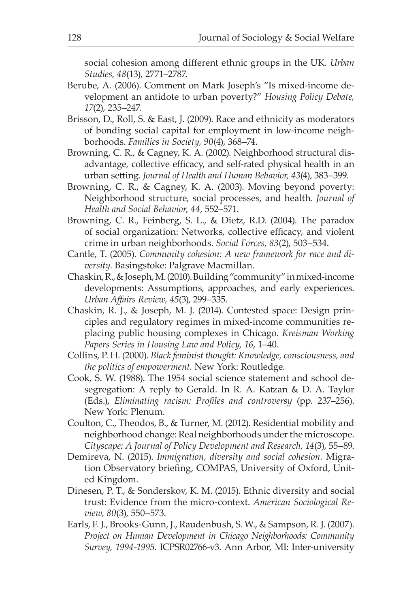social cohesion among different ethnic groups in the UK. *Urban Studies, 48*(13), 2771–2787.

- Berube, A. (2006). Comment on Mark Joseph's "Is mixed-income development an antidote to urban poverty?" *Housing Policy Debate, 17*(2), 235–247.
- Brisson, D., Roll, S. & East, J. (2009). Race and ethnicity as moderators of bonding social capital for employment in low-income neighborhoods. *Families in Society, 90*(4), 368–74.
- Browning, C. R., & Cagney, K. A. (2002). Neighborhood structural disadvantage, collective efficacy, and self-rated physical health in an urban setting. *Journal of Health and Human Behavior, 43*(4), 383–399.
- Browning, C. R., & Cagney, K. A. (2003). Moving beyond poverty: Neighborhood structure, social processes, and health. *Journal of Health and Social Behavior, 44*, 552–571.
- Browning, C. R., Feinberg, S. L., & Dietz, R.D. (2004). The paradox of social organization: Networks, collective efficacy, and violent crime in urban neighborhoods. *Social Forces, 83*(2), 503–534.
- Cantle, T. (2005). *Community cohesion: A new framework for race and diversity.* Basingstoke: Palgrave Macmillan.
- Chaskin, R., & Joseph, M. (2010). Building "community" in mixed-income developments: Assumptions, approaches, and early experiences. *Urban Affairs Review, 45*(3), 299–335.
- Chaskin, R. J., & Joseph, M. J. (2014). Contested space: Design principles and regulatory regimes in mixed-income communities replacing public housing complexes in Chicago. *Kreisman Working Papers Series in Housing Law and Policy, 16*, 1–40.
- Collins, P. H. (2000). *Black feminist thought: Knowledge, consciousness, and the politics of empowerment.* New York: Routledge.
- Cook, S. W. (1988). The 1954 social science statement and school desegregation: A reply to Gerald. In R. A. Katzan & D. A. Taylor (Eds.), *Eliminating racism: Profiles and controversy* (pp. 237–256). New York: Plenum.
- Coulton, C., Theodos, B., & Turner, M. (2012). Residential mobility and neighborhood change: Real neighborhoods under the microscope. *Cityscape: A Journal of Policy Development and Research, 14*(3), 55–89.
- Demireva, N. (2015). *Immigration, diversity and social cohesion.* Migration Observatory briefing, COMPAS, University of Oxford, United Kingdom.
- Dinesen, P. T., & Sonderskov, K. M. (2015). Ethnic diversity and social trust: Evidence from the micro-context. *American Sociological Review, 80*(3), 550–573.
- Earls, F. J., Brooks-Gunn, J., Raudenbush, S. W., & Sampson, R. J. (2007). *Project on Human Development in Chicago Neighborhoods: Community Survey, 1994-1995.* ICPSR02766-v3. Ann Arbor, MI: Inter-university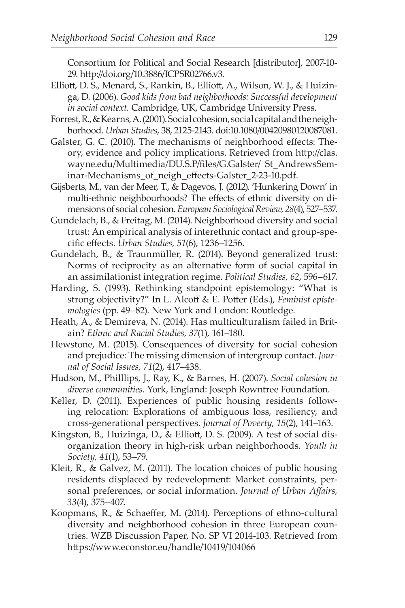Consortium for Political and Social Research [distributor], 2007-10- 29. http://doi.org/10.3886/ICPSR02766.v3.

- Elliott, D. S., Menard, S., Rankin, B., Elliott, A., Wilson, W. J., & Huizinga, D. (2006). *Good kids from bad neighborhoods: Successful development in social context.* Cambridge, UK, Cambridge University Press.
- Forrest, R., & Kearns, A. (2001). Social cohesion, social capital and the neighborhood. *Urban Studies*, 38, 2125-2143. doi:10.1080/00420980120087081.
- Galster, G. C. (2010). The mechanisms of neighborhood effects: Theory, evidence and policy implications. Retrieved from http://clas. wayne.edu/Multimedia/DU.S.P/files/G.Galster/ St\_AndrewsSeminar-Mechanisms\_of\_neigh\_effects-Galster\_2-23-10.pdf.
- Gijsberts, M., van der Meer, T., & Dagevos, J. (2012). 'Hunkering Down' in multi-ethnic neighbourhoods? The effects of ethnic diversity on dimensions of social cohesion. *European Sociological Review, 28*(4), 527–537.
- Gundelach, B., & Freitag, M. (2014). Neighborhood diversity and social trust: An empirical analysis of interethnic contact and group-specific effects. *Urban Studies, 51*(6), 1236–1256.
- Gundelach, B., & Traunmüller, R. (2014). Beyond generalized trust: Norms of reciprocity as an alternative form of social capital in an assimilationist integration regime. *Political Studies, 62*, 596–617.
- Harding, S. (1993). Rethinking standpoint epistemology: "What is strong objectivity?" In L. Alcoff & E. Potter (Eds.), *Feminist epistemologies* (pp. 49–82). New York and London: Routledge.
- Heath, A., & Demireva, N. (2014). Has multiculturalism failed in Britain? *Ethnic and Racial Studies, 37*(1), 161–180.
- Hewstone, M. (2015). Consequences of diversity for social cohesion and prejudice: The missing dimension of intergroup contact. *Journal of Social Issues, 71*(2), 417–438.
- Hudson, M., Philllips, J., Ray, K., & Barnes, H. (2007). *Social cohesion in diverse communities.* York, England: Joseph Rowntree Foundation.
- Keller, D. (2011). Experiences of public housing residents following relocation: Explorations of ambiguous loss, resiliency, and cross-generational perspectives. *Journal of Poverty, 15*(2), 141–163.
- Kingston, B., Huizinga, D., & Elliott, D. S. (2009). A test of social disorganization theory in high-risk urban neighborhoods. *Youth in Society, 41*(1), 53–79.
- Kleit, R., & Galvez, M. (2011). The location choices of public housing residents displaced by redevelopment: Market constraints, personal preferences, or social information. *Journal of Urban Affairs, 33*(4), 375–407.
- Koopmans, R., & Schaeffer, M. (2014). Perceptions of ethno-cultural diversity and neighborhood cohesion in three European countries. WZB Discussion Paper, No. SP VI 2014-103. Retrieved from https://www.econstor.eu/handle/10419/104066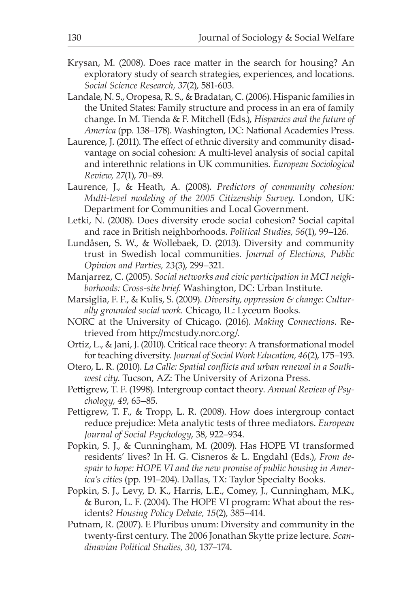- Krysan, M. (2008). Does race matter in the search for housing? An exploratory study of search strategies, experiences, and locations. *Social Science Research, 37*(2), 581-603.
- Landale, N. S., Oropesa, R. S., & Bradatan, C. (2006). Hispanic families in the United States: Family structure and process in an era of family change. In M. Tienda & F. Mitchell (Eds.), *Hispanics and the future of America* (pp. 138–178). Washington, DC: National Academies Press.
- Laurence, J. (2011). The effect of ethnic diversity and community disadvantage on social cohesion: A multi-level analysis of social capital and interethnic relations in UK communities. *European Sociological Review, 27*(1), 70–89.
- Laurence, J., & Heath, A. (2008). *Predictors of community cohesion: Multi-level modeling of the 2005 Citizenship Survey.* London, UK: Department for Communities and Local Government.
- Letki, N. (2008). Does diversity erode social cohesion? Social capital and race in British neighborhoods. *Political Studies, 56*(1), 99–126.
- Lundåsen, S. W., & Wollebaek, D. (2013). Diversity and community trust in Swedish local communities. *Journal of Elections, Public Opinion and Parties, 23*(3), 299–321.
- Manjarrez, C. (2005). *Social networks and civic participation in MCI neighborhoods: Cross-site brief.* Washington, DC: Urban Institute.
- Marsiglia, F. F., & Kulis, S. (2009). *Diversity, oppression & change: Culturally grounded social work.* Chicago, IL: Lyceum Books.
- NORC at the University of Chicago. (2016). *Making Connections.* Retrieved from http://mcstudy.norc.org/.
- Ortiz, L., & Jani, J. (2010). Critical race theory: A transformational model for teaching diversity. *Journal of Social Work Education, 46*(2), 175–193.
- Otero, L. R. (2010). *La Calle: Spatial conflicts and urban renewal in a Southwest city.* Tucson, AZ: The University of Arizona Press.
- Pettigrew, T. F. (1998). Intergroup contact theory. *Annual Review of Psychology, 49*, 65–85.
- Pettigrew, T. F., & Tropp, L. R. (2008). How does intergroup contact reduce prejudice: Meta analytic tests of three mediators. *European Journal of Social Psychology*, 38, 922–934.
- Popkin, S. J., & Cunningham, M. (2009). Has HOPE VI transformed residents' lives? In H. G. Cisneros & L. Engdahl (Eds.), *From despair to hope: HOPE VI and the new promise of public housing in America's cities* (pp. 191–204). Dallas, TX: Taylor Specialty Books.
- Popkin, S. J., Levy, D. K., Harris, L.E., Comey, J., Cunningham, M.K., & Buron, L. F. (2004). The HOPE VI program: What about the residents? *Housing Policy Debate, 15*(2), 385–414.
- Putnam, R. (2007). E Pluribus unum: Diversity and community in the twenty-first century. The 2006 Jonathan Skytte prize lecture. *Scandinavian Political Studies, 30*, 137–174.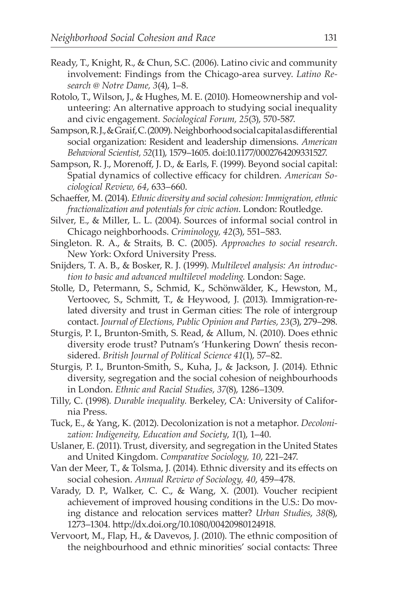- Ready, T., Knight, R., & Chun, S.C. (2006). Latino civic and community involvement: Findings from the Chicago-area survey. *Latino Research @ Notre Dame, 3*(4), 1–8.
- Rotolo, T., Wilson, J., & Hughes, M. E. (2010). Homeownership and volunteering: An alternative approach to studying social inequality and civic engagement. *Sociological Forum, 25*(3), 570-587.
- Sampson, R. J., & Graif, C. (2009). Neighborhood social capital as differential social organization: Resident and leadership dimensions. *American Behavioral Scientist, 52*(11), 1579–1605. doi:10.1177/0002764209331527.
- Sampson, R. J., Morenoff, J. D., & Earls, F. (1999). Beyond social capital: Spatial dynamics of collective efficacy for children. *American Sociological Review, 64*, 633–660.
- Schaeffer, M. (2014). *Ethnic diversity and social cohesion: Immigration,ethnic fractionalization and potentials for civic action*. London: Routledge.
- Silver, E., & Miller, L. L. (2004). Sources of informal social control in Chicago neighborhoods. *Criminology, 42*(3), 551–583.
- Singleton. R. A., & Straits, B. C. (2005). *Approaches to social research*. New York: Oxford University Press.
- Snijders, T. A. B., & Bosker, R. J. (1999). *Multilevel analysis: An introduction to basic and advanced multilevel modeling*. London: Sage.
- Stolle, D., Petermann, S., Schmid, K., Schönwälder, K., Hewston, M., Vertoovec, S., Schmitt, T., & Heywood, J. (2013). Immigration-related diversity and trust in German cities: The role of intergroup contact. *Journal of Elections, Public Opinion and Parties, 23*(3), 279–298.
- Sturgis, P. I., Brunton-Smith, S. Read, & Allum, N. (2010). Does ethnic diversity erode trust? Putnam's 'Hunkering Down' thesis reconsidered. *British Journal of Political Science 41*(1), 57–82.
- Sturgis, P. I., Brunton-Smith, S., Kuha, J., & Jackson, J. (2014). Ethnic diversity, segregation and the social cohesion of neighbourhoods in London. *Ethnic and Racial Studies, 37*(8), 1286–1309.
- Tilly, C. (1998). *Durable inequality.* Berkeley, CA: University of California Press.
- Tuck, E., & Yang, K. (2012). Decolonization is not a metaphor. *Decolonization: Indigeneity, Education and Society*, *1*(1), 1–40.
- Uslaner, E. (2011). Trust, diversity, and segregation in the United States and United Kingdom. *Comparative Sociology, 10*, 221–247.
- Van der Meer, T., & Tolsma, J. (2014). Ethnic diversity and its effects on social cohesion. *Annual Review of Sociology, 40*, 459–478.
- Varady, D. P., Walker, C. C., & Wang, X. (2001). Voucher recipient achievement of improved housing conditions in the U.S.: Do moving distance and relocation services matter? *Urban Studies*, *38*(8), 1273–1304. http://dx.doi.org/10.1080/00420980124918.
- Vervoort, M., Flap, H., & Davevos, J. (2010). The ethnic composition of the neighbourhood and ethnic minorities' social contacts: Three